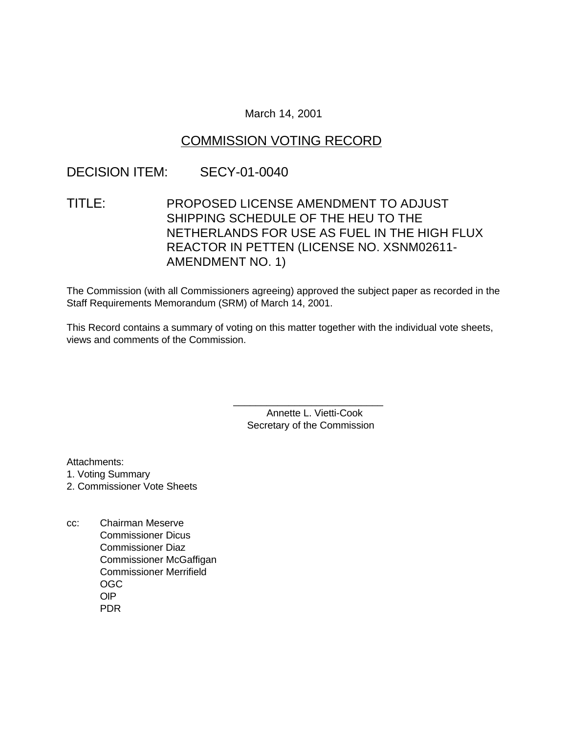### March 14, 2001

## COMMISSION VOTING RECORD

## DECISION ITEM: SECY-01-0040

# TITLE: PROPOSED LICENSE AMENDMENT TO ADJUST SHIPPING SCHEDULE OF THE HEU TO THE NETHERLANDS FOR USE AS FUEL IN THE HIGH FLUX REACTOR IN PETTEN (LICENSE NO. XSNM02611- AMENDMENT NO. 1)

The Commission (with all Commissioners agreeing) approved the subject paper as recorded in the Staff Requirements Memorandum (SRM) of March 14, 2001.

This Record contains a summary of voting on this matter together with the individual vote sheets, views and comments of the Commission.

> Annette L. Vietti-Cook Secretary of the Commission

\_\_\_\_\_\_\_\_\_\_\_\_\_\_\_\_\_\_\_\_\_\_\_\_\_\_\_

Attachments:

1. Voting Summary

- 2. Commissioner Vote Sheets
- cc: Chairman Meserve Commissioner Dicus Commissioner Diaz Commissioner McGaffigan Commissioner Merrifield OGC OIP PDR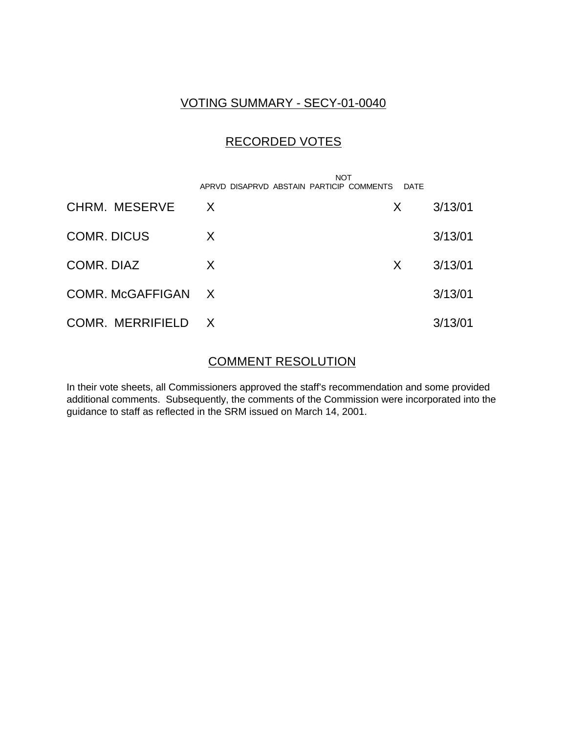## VOTING SUMMARY - SECY-01-0040

# RECORDED VOTES

|                    | <b>NOT</b><br>APRVD DISAPRVD ABSTAIN PARTICIP COMMENTS | DATE |         |
|--------------------|--------------------------------------------------------|------|---------|
| CHRM. MESERVE      | $\times$                                               | X.   | 3/13/01 |
| <b>COMR. DICUS</b> | X                                                      |      | 3/13/01 |
| COMR. DIAZ         | X                                                      | X.   | 3/13/01 |
| COMR. McGAFFIGAN   | $\mathsf{X}$                                           |      | 3/13/01 |
| COMR. MERRIFIELD   | $\mathsf{X}$                                           |      | 3/13/01 |

## COMMENT RESOLUTION

In their vote sheets, all Commissioners approved the staff's recommendation and some provided additional comments. Subsequently, the comments of the Commission were incorporated into the guidance to staff as reflected in the SRM issued on March 14, 2001.